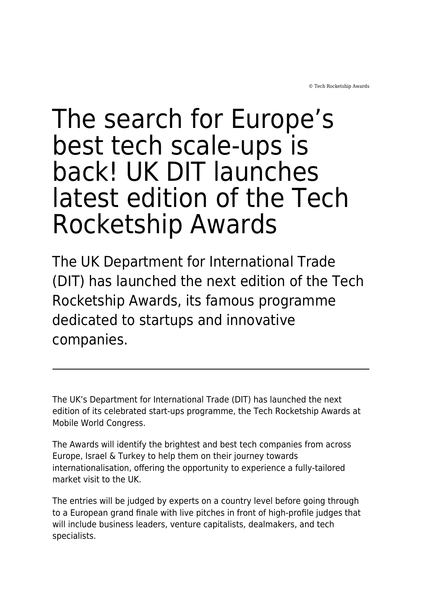© Tech Rocketship Awards

## The search for Europe's best tech scale-ups is back! UK DIT launches latest edition of the Tech Rocketship Awards

The UK Department for International Trade (DIT) has launched the next edition of the Tech Rocketship Awards, its famous programme dedicated to startups and innovative companies.

The UK's Department for International Trade (DIT) has launched the next edition of its celebrated start-ups programme, the Tech Rocketship Awards at Mobile World Congress.

The Awards will identify the brightest and best tech companies from across Europe, Israel & Turkey to help them on their journey towards internationalisation, offering the opportunity to experience a fully-tailored market visit to the UK.

The entries will be judged by experts on a country level before going through to a European grand finale with live pitches in front of high-profile judges that will include business leaders, venture capitalists, dealmakers, and tech specialists.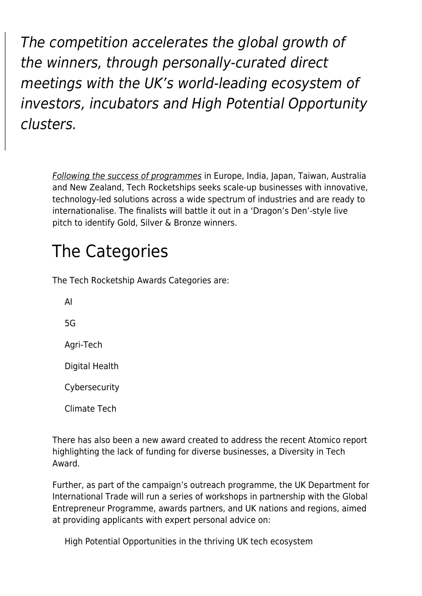The competition accelerates the global growth of the winners, through personally-curated direct meetings with the UK's world-leading ecosystem of investors, incubators and High Potential Opportunity clusters.

[Following the success of programmes](https://www.maddyness.com/uk/2020/12/10/discover-the-3-french-companies-selected-to-compete-in-the-tech-rocketship-awards/) in Europe, India, Japan, Taiwan, Australia and New Zealand, Tech Rocketships seeks scale-up businesses with innovative, technology-led solutions across a wide spectrum of industries and are ready to internationalise. The finalists will battle it out in a 'Dragon's Den'-style live pitch to identify Gold, Silver & Bronze winners.

## The Categories

The Tech Rocketship Awards Categories are:

AI 5G Agri-Tech Digital Health Cybersecurity

Climate Tech

There has also been a new award created to address the recent Atomico report highlighting the lack of funding for diverse businesses, a Diversity in Tech Award.

Further, as part of the campaign's outreach programme, the UK Department for International Trade will run a series of workshops in partnership with the Global Entrepreneur Programme, awards partners, and UK nations and regions, aimed at providing applicants with expert personal advice on:

High Potential Opportunities in the thriving UK tech ecosystem